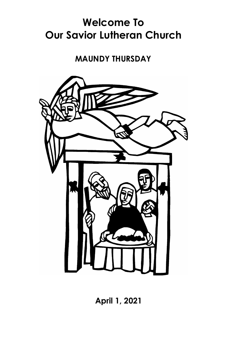# **Welcome To Our Savior Lutheran Church**

#### **MAUNDY THURSDAY**



**April 1, 2021**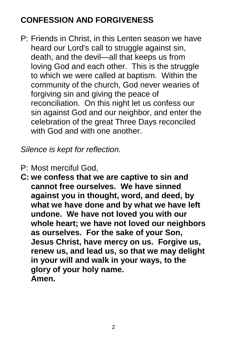## **CONFESSION AND FORGIVENESS**

P: Friends in Christ, in this Lenten season we have heard our Lord's call to struggle against sin, death, and the devil—all that keeps us from loving God and each other. This is the struggle to which we were called at baptism. Within the community of the church, God never wearies of forgiving sin and giving the peace of reconciliation. On this night let us confess our sin against God and our neighbor, and enter the celebration of the great Three Days reconciled with God and with one another.

*Silence is kept for reflection.*

- P: Most merciful God,
- **C: we confess that we are captive to sin and cannot free ourselves. We have sinned against you in thought, word, and deed, by what we have done and by what we have left undone. We have not loved you with our whole heart; we have not loved our neighbors as ourselves. For the sake of your Son, Jesus Christ, have mercy on us. Forgive us, renew us, and lead us, so that we may delight in your will and walk in your ways, to the glory of your holy name. Amen.**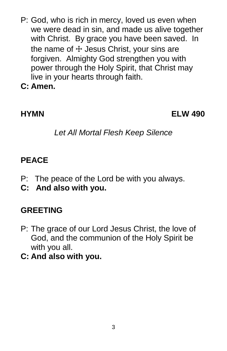- P: God, who is rich in mercy, loved us even when we were dead in sin, and made us alive together with Christ. By grace you have been saved. In the name of  $+$  Jesus Christ, your sins are forgiven. Almighty God strengthen you with power through the Holy Spirit, that Christ may live in your hearts through faith.
- **C: Amen.**

**HYMN ELW 490**

*Let All Mortal Flesh Keep Silence*

#### **PEACE**

- P:The peace of the Lord be with you always.
- **C: And also with you.**

### **GREETING**

- P: The grace of our Lord Jesus Christ, the love of God, and the communion of the Holy Spirit be with you all.
- **C: And also with you.**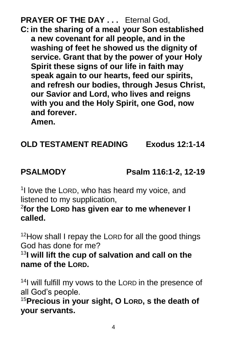**PRAYER OF THE DAY ...** Eternal God, **C: in the sharing of a meal your Son established a new covenant for all people, and in the washing of feet he showed us the dignity of service. Grant that by the power of your Holy** 

**Spirit these signs of our life in faith may speak again to our hearts, feed our spirits, and refresh our bodies, through Jesus Christ, our Savior and Lord, who lives and reigns with you and the Holy Spirit, one God, now and forever.**

**Amen.**

## **OLD TESTAMENT READING Exodus 12:1-14**

**PSALMODY Psalm 116:1-2, 12-19**

<sup>1</sup>I love the LORD, who has heard my voice, and listened to my supplication,

2 **for the LORD has given ear to me whenever I called.**

 $12$ How shall I repay the LORD for all the good things God has done for me?

<sup>13</sup>**I will lift the cup of salvation and call on the name of the LORD.**

<sup>14</sup>I will fulfill my vows to the LORD in the presence of all God's people.

<sup>15</sup>**Precious in your sight, O LORD, s the death of your servants.**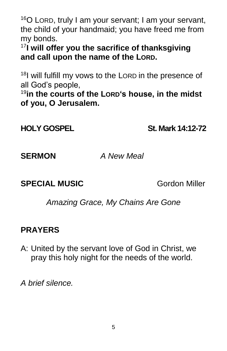$16$ O LORD, truly I am your servant; I am your servant, the child of your handmaid; you have freed me from my bonds.

<sup>17</sup>**I will offer you the sacrifice of thanksgiving and call upon the name of the LORD.**

<sup>18</sup>I will fulfill my vows to the LORD in the presence of all God's people,

19 **in the courts of the LORD's house, in the midst of you, O Jerusalem.**

**HOLY GOSPEL St. Mark 14:12-72**

**SERMON** *A New Meal*

**SPECIAL MUSIC Gordon Miller** 

*Amazing Grace, My Chains Are Gone*

#### **PRAYERS**

A: United by the servant love of God in Christ, we pray this holy night for the needs of the world.

*A brief silence.*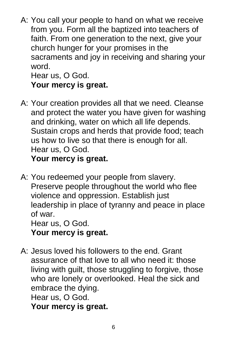A: You call your people to hand on what we receive from you. Form all the baptized into teachers of faith. From one generation to the next, give your church hunger for your promises in the sacraments and joy in receiving and sharing your word.

Hear us, O God. **Your mercy is great.**

- A: Your creation provides all that we need. Cleanse and protect the water you have given for washing and drinking, water on which all life depends. Sustain crops and herds that provide food; teach us how to live so that there is enough for all. Hear us, O God. **Your mercy is great.**
- A: You redeemed your people from slavery. Preserve people throughout the world who flee violence and oppression. Establish just leadership in place of tyranny and peace in place of war. Hear us, O God. **Your mercy is great.**
- A: Jesus loved his followers to the end. Grant assurance of that love to all who need it: those living with guilt, those struggling to forgive, those who are lonely or overlooked. Heal the sick and embrace the dying. Hear us, O God. **Your mercy is great.**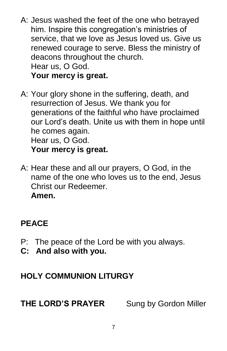- A: Jesus washed the feet of the one who betrayed him. Inspire this congregation's ministries of service, that we love as Jesus loved us. Give us renewed courage to serve. Bless the ministry of deacons throughout the church. Hear us, O God. **Your mercy is great.**
- A: Your glory shone in the suffering, death, and resurrection of Jesus. We thank you for generations of the faithful who have proclaimed our Lord's death. Unite us with them in hope until he comes again. Hear us, O God. **Your mercy is great.**
- A: Hear these and all our prayers, O God, in the name of the one who loves us to the end, Jesus Christ our Redeemer. **Amen.**

### **PEACE**

- P: The peace of the Lord be with you always.
- **C: And also with you.**

### **HOLY COMMUNION LITURGY**

**THE LORD'S PRAYER** Sung by Gordon Miller